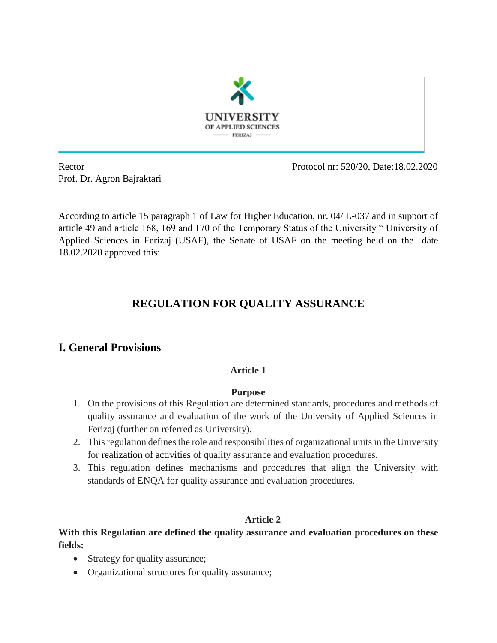

Prof. Dr. Agron Bajraktari

Rector Protocol nr: 520/20, Date:18.02.2020

According to article 15 paragraph 1 of Law for Higher Education, nr. 04/ L-037 and in support of article 49 and article 168, 169 and 170 of the Temporary Status of the University " University of Applied Sciences in Ferizaj (USAF), the Senate of USAF on the meeting held on the date 18.02.2020 approved this:

# **REGULATION FOR QUALITY ASSURANCE**

# **I. General Provisions**

# **Article 1**

#### **Purpose**

- 1. On the provisions of this Regulation are determined standards, procedures and methods of quality assurance and evaluation of the work of the University of Applied Sciences in Ferizaj (further on referred as University).
- 2. This regulation defines the role and responsibilities of organizational units in the University for realization of activities of quality assurance and evaluation procedures.
- 3. This regulation defines mechanisms and procedures that align the University with standards of ENQA for quality assurance and evaluation procedures.

## **Article 2**

# **With this Regulation are defined the quality assurance and evaluation procedures on these fields:**

- Strategy for quality assurance;
- Organizational structures for quality assurance;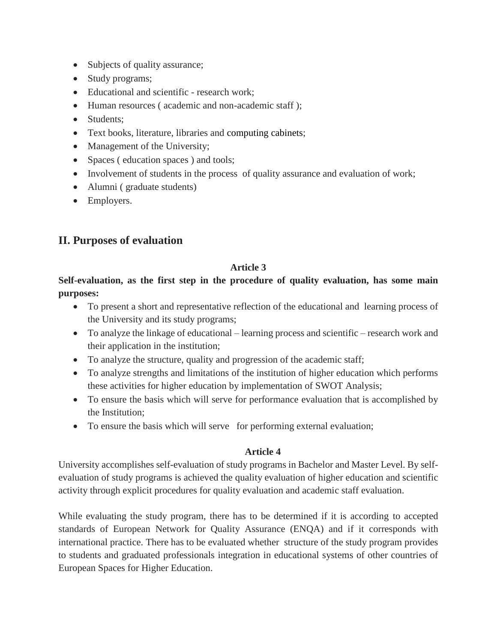- Subjects of quality assurance;
- Study programs;
- Educational and scientific research work;
- Human resources ( academic and non-academic staff );
- Students:
- Text books, literature, libraries and computing cabinets;
- Management of the University;
- Spaces (education spaces) and tools;
- Involvement of students in the process of quality assurance and evaluation of work;
- Alumni (graduate students)
- Employers.

# **II. Purposes of evaluation**

## **Article 3**

**Self-evaluation, as the first step in the procedure of quality evaluation, has some main purposes:**

- To present a short and representative reflection of the educational and learning process of the University and its study programs;
- To analyze the linkage of educational learning process and scientific research work and their application in the institution;
- To analyze the structure, quality and progression of the academic staff;
- To analyze strengths and limitations of the institution of higher education which performs these activities for higher education by implementation of SWOT Analysis;
- To ensure the basis which will serve for performance evaluation that is accomplished by the Institution;
- To ensure the basis which will serve for performing external evaluation;

## **Article 4**

University accomplishes self-evaluation of study programs in Bachelor and Master Level. By selfevaluation of study programs is achieved the quality evaluation of higher education and scientific activity through explicit procedures for quality evaluation and academic staff evaluation.

While evaluating the study program, there has to be determined if it is according to accepted standards of European Network for Quality Assurance (ENQA) and if it corresponds with international practice. There has to be evaluated whether structure of the study program provides to students and graduated professionals integration in educational systems of other countries of European Spaces for Higher Education.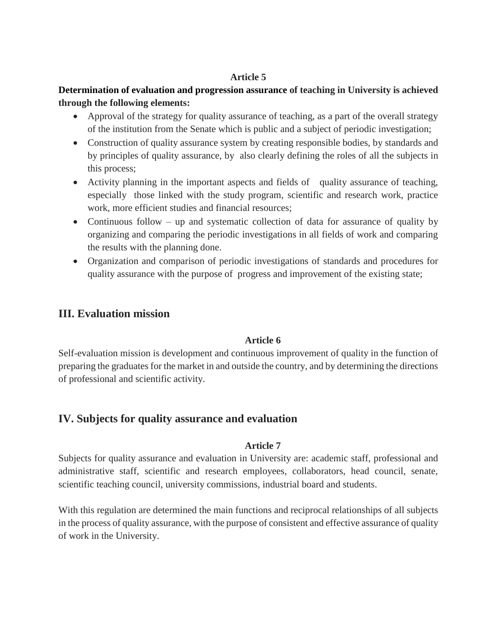# **Determination of evaluation and progression assurance of teaching in University is achieved through the following elements:**

- Approval of the strategy for quality assurance of teaching, as a part of the overall strategy of the institution from the Senate which is public and a subject of periodic investigation;
- Construction of quality assurance system by creating responsible bodies, by standards and by principles of quality assurance, by also clearly defining the roles of all the subjects in this process;
- Activity planning in the important aspects and fields of quality assurance of teaching, especially those linked with the study program, scientific and research work, practice work, more efficient studies and financial resources;
- Continuous follow up and systematic collection of data for assurance of quality by organizing and comparing the periodic investigations in all fields of work and comparing the results with the planning done.
- Organization and comparison of periodic investigations of standards and procedures for quality assurance with the purpose of progress and improvement of the existing state;

# **III. Evaluation mission**

## **Article 6**

Self-evaluation mission is development and continuous improvement of quality in the function of preparing the graduates for the market in and outside the country, and by determining the directions of professional and scientific activity.

# **IV. Subjects for quality assurance and evaluation**

## **Article 7**

Subjects for quality assurance and evaluation in University are: academic staff, professional and administrative staff, scientific and research employees, collaborators, head council, senate, scientific teaching council, university commissions, industrial board and students.

With this regulation are determined the main functions and reciprocal relationships of all subjects in the process of quality assurance, with the purpose of consistent and effective assurance of quality of work in the University.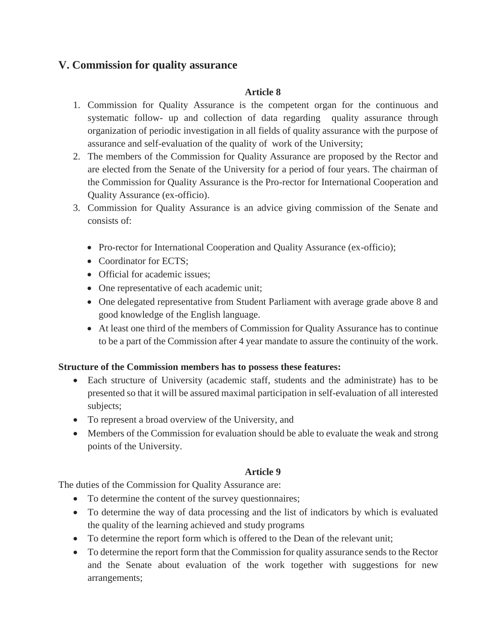# **V. Commission for quality assurance**

## **Article 8**

- 1. Commission for Quality Assurance is the competent organ for the continuous and systematic follow- up and collection of data regarding quality assurance through organization of periodic investigation in all fields of quality assurance with the purpose of assurance and self-evaluation of the quality of work of the University;
- 2. The members of the Commission for Quality Assurance are proposed by the Rector and are elected from the Senate of the University for a period of four years. The chairman of the Commission for Quality Assurance is the Pro-rector for International Cooperation and Quality Assurance (ex-officio).
- 3. Commission for Quality Assurance is an advice giving commission of the Senate and consists of:
	- Pro-rector for International Cooperation and Quality Assurance (ex-officio);
	- Coordinator for ECTS:
	- Official for academic issues:
	- One representative of each academic unit;
	- One delegated representative from Student Parliament with average grade above 8 and good knowledge of the English language.
	- At least one third of the members of Commission for Quality Assurance has to continue to be a part of the Commission after 4 year mandate to assure the continuity of the work.

## **Structure of the Commission members has to possess these features:**

- Each structure of University (academic staff, students and the administrate) has to be presented so that it will be assured maximal participation in self-evaluation of all interested subjects;
- To represent a broad overview of the University, and
- Members of the Commission for evaluation should be able to evaluate the weak and strong points of the University.

## **Article 9**

The duties of the Commission for Quality Assurance are:

- To determine the content of the survey questionnaires;
- To determine the way of data processing and the list of indicators by which is evaluated the quality of the learning achieved and study programs
- To determine the report form which is offered to the Dean of the relevant unit;
- To determine the report form that the Commission for quality assurance sends to the Rector and the Senate about evaluation of the work together with suggestions for new arrangements;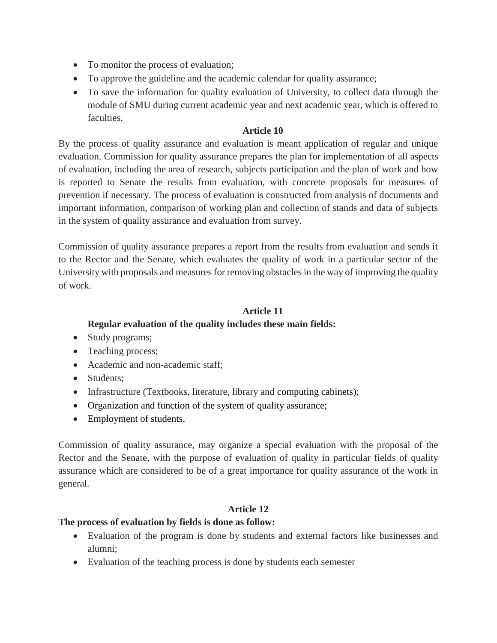- To monitor the process of evaluation;
- To approve the guideline and the academic calendar for quality assurance;
- To save the information for quality evaluation of University, to collect data through the module of SMU during current academic year and next academic year, which is offered to faculties.

By the process of quality assurance and evaluation is meant application of regular and unique evaluation. Commission for quality assurance prepares the plan for implementation of all aspects of evaluation, including the area of research, subjects participation and the plan of work and how is reported to Senate the results from evaluation, with concrete proposals for measures of prevention if necessary. The process of evaluation is constructed from analysis of documents and important information, comparison of working plan and collection of stands and data of subjects in the system of quality assurance and evaluation from survey.

Commission of quality assurance prepares a report from the results from evaluation and sends it to the Rector and the Senate, which evaluates the quality of work in a particular sector of the University with proposals and measures for removing obstacles in the way of improving the quality of work.

# **Article 11**

# **Regular evaluation of the quality includes these main fields:**

- Study programs;
- Teaching process;
- Academic and non-academic staff;
- Students:
- Infrastructure (Textbooks, literature, library and computing cabinets);
- Organization and function of the system of quality assurance;
- Employment of students.

Commission of quality assurance, may organize a special evaluation with the proposal of the Rector and the Senate, with the purpose of evaluation of quality in particular fields of quality assurance which are considered to be of a great importance for quality assurance of the work in general.

# **Article 12**

# **The process of evaluation by fields is done as follow:**

- Evaluation of the program is done by students and external factors like businesses and alumni;
- Evaluation of the teaching process is done by students each semester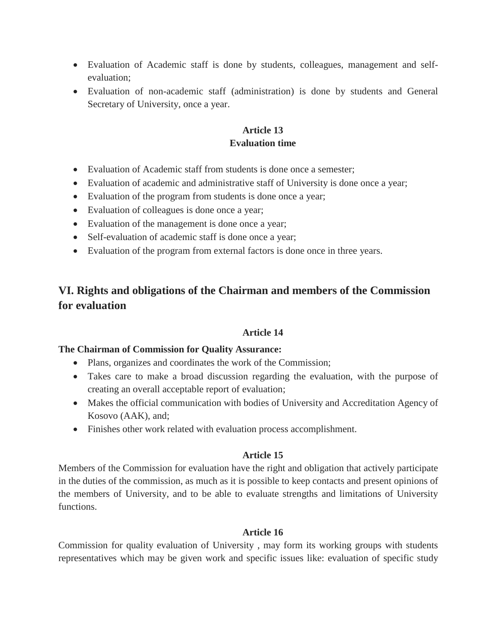- Evaluation of Academic staff is done by students, colleagues, management and selfevaluation;
- Evaluation of non-academic staff (administration) is done by students and General Secretary of University, once a year.

## **Article 13 Evaluation time**

- Evaluation of Academic staff from students is done once a semester;
- Evaluation of academic and administrative staff of University is done once a year;
- Evaluation of the program from students is done once a year;
- Evaluation of colleagues is done once a year;
- Evaluation of the management is done once a year;
- Self-evaluation of academic staff is done once a year;
- Evaluation of the program from external factors is done once in three years.

# **VI. Rights and obligations of the Chairman and members of the Commission for evaluation**

# **Article 14**

## **The Chairman of Commission for Quality Assurance:**

- Plans, organizes and coordinates the work of the Commission;
- Takes care to make a broad discussion regarding the evaluation, with the purpose of creating an overall acceptable report of evaluation;
- Makes the official communication with bodies of University and Accreditation Agency of Kosovo (AAK), and;
- Finishes other work related with evaluation process accomplishment.

# **Article 15**

Members of the Commission for evaluation have the right and obligation that actively participate in the duties of the commission, as much as it is possible to keep contacts and present opinions of the members of University, and to be able to evaluate strengths and limitations of University functions.

## **Article 16**

Commission for quality evaluation of University , may form its working groups with students representatives which may be given work and specific issues like: evaluation of specific study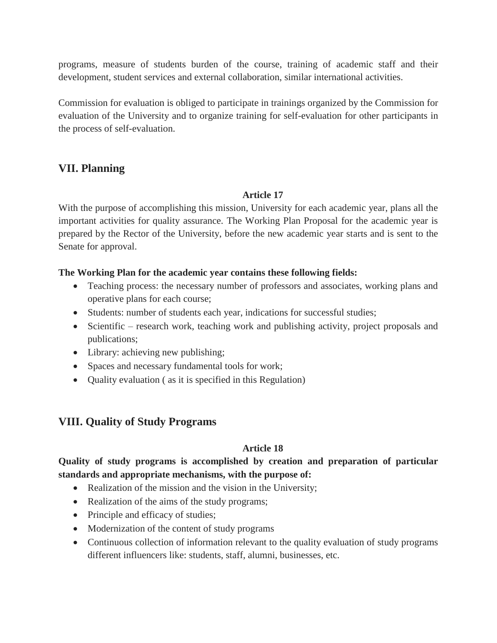programs, measure of students burden of the course, training of academic staff and their development, student services and external collaboration, similar international activities.

Commission for evaluation is obliged to participate in trainings organized by the Commission for evaluation of the University and to organize training for self-evaluation for other participants in the process of self-evaluation.

# **VII. Planning**

## **Article 17**

With the purpose of accomplishing this mission, University for each academic year, plans all the important activities for quality assurance. The Working Plan Proposal for the academic year is prepared by the Rector of the University, before the new academic year starts and is sent to the Senate for approval.

## **The Working Plan for the academic year contains these following fields:**

- Teaching process: the necessary number of professors and associates, working plans and operative plans for each course;
- Students: number of students each year, indications for successful studies;
- Scientific research work, teaching work and publishing activity, project proposals and publications;
- Library: achieving new publishing;
- Spaces and necessary fundamental tools for work;
- Quality evaluation ( as it is specified in this Regulation)

# **VIII. Quality of Study Programs**

#### **Article 18**

# **Quality of study programs is accomplished by creation and preparation of particular standards and appropriate mechanisms, with the purpose of:**

- Realization of the mission and the vision in the University;
- Realization of the aims of the study programs;
- Principle and efficacy of studies;
- Modernization of the content of study programs
- Continuous collection of information relevant to the quality evaluation of study programs different influencers like: students, staff, alumni, businesses, etc.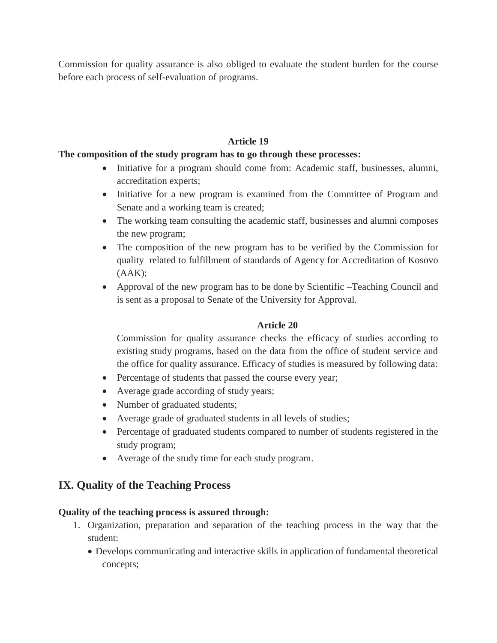Commission for quality assurance is also obliged to evaluate the student burden for the course before each process of self-evaluation of programs.

# **Article 19**

## **The composition of the study program has to go through these processes:**

- Initiative for a program should come from: Academic staff, businesses, alumni, accreditation experts;
- Initiative for a new program is examined from the Committee of Program and Senate and a working team is created;
- The working team consulting the academic staff, businesses and alumni composes the new program;
- The composition of the new program has to be verified by the Commission for quality related to fulfillment of standards of Agency for Accreditation of Kosovo  $(AAK);$
- Approval of the new program has to be done by Scientific –Teaching Council and is sent as a proposal to Senate of the University for Approval.

## **Article 20**

Commission for quality assurance checks the efficacy of studies according to existing study programs, based on the data from the office of student service and the office for quality assurance. Efficacy of studies is measured by following data:

- Percentage of students that passed the course every year;
- Average grade according of study years;
- Number of graduated students;
- Average grade of graduated students in all levels of studies;
- Percentage of graduated students compared to number of students registered in the study program;
- Average of the study time for each study program.

# **IX. Quality of the Teaching Process**

#### **Quality of the teaching process is assured through:**

- 1. Organization, preparation and separation of the teaching process in the way that the student:
	- Develops communicating and interactive skills in application of fundamental theoretical concepts;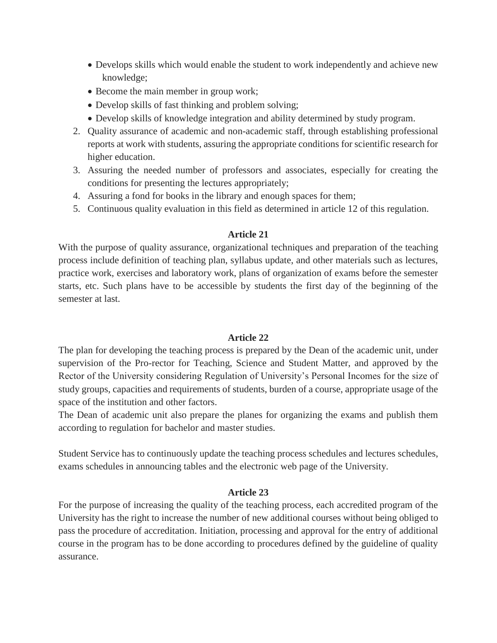- Develops skills which would enable the student to work independently and achieve new knowledge;
- Become the main member in group work;
- Develop skills of fast thinking and problem solving;
- Develop skills of knowledge integration and ability determined by study program.
- 2. Quality assurance of academic and non-academic staff, through establishing professional reports at work with students, assuring the appropriate conditions for scientific research for higher education.
- 3. Assuring the needed number of professors and associates, especially for creating the conditions for presenting the lectures appropriately;
- 4. Assuring a fond for books in the library and enough spaces for them;
- 5. Continuous quality evaluation in this field as determined in article 12 of this regulation.

With the purpose of quality assurance, organizational techniques and preparation of the teaching process include definition of teaching plan, syllabus update, and other materials such as lectures, practice work, exercises and laboratory work, plans of organization of exams before the semester starts, etc. Such plans have to be accessible by students the first day of the beginning of the semester at last.

#### **Article 22**

The plan for developing the teaching process is prepared by the Dean of the academic unit, under supervision of the Pro-rector for Teaching, Science and Student Matter, and approved by the Rector of the University considering Regulation of University's Personal Incomes for the size of study groups, capacities and requirements of students, burden of a course, appropriate usage of the space of the institution and other factors.

The Dean of academic unit also prepare the planes for organizing the exams and publish them according to regulation for bachelor and master studies.

Student Service has to continuously update the teaching process schedules and lectures schedules, exams schedules in announcing tables and the electronic web page of the University.

#### **Article 23**

For the purpose of increasing the quality of the teaching process, each accredited program of the University has the right to increase the number of new additional courses without being obliged to pass the procedure of accreditation. Initiation, processing and approval for the entry of additional course in the program has to be done according to procedures defined by the guideline of quality assurance.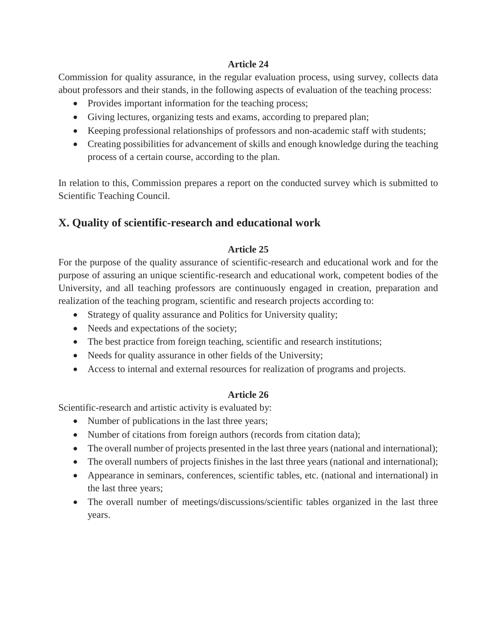Commission for quality assurance, in the regular evaluation process, using survey, collects data about professors and their stands, in the following aspects of evaluation of the teaching process:

- Provides important information for the teaching process;
- Giving lectures, organizing tests and exams, according to prepared plan;
- Keeping professional relationships of professors and non-academic staff with students;
- Creating possibilities for advancement of skills and enough knowledge during the teaching process of a certain course, according to the plan.

In relation to this, Commission prepares a report on the conducted survey which is submitted to Scientific Teaching Council.

# **X. Quality of scientific-research and educational work**

## **Article 25**

For the purpose of the quality assurance of scientific-research and educational work and for the purpose of assuring an unique scientific-research and educational work, competent bodies of the University, and all teaching professors are continuously engaged in creation, preparation and realization of the teaching program, scientific and research projects according to:

- Strategy of quality assurance and Politics for University quality;
- Needs and expectations of the society;
- The best practice from foreign teaching, scientific and research institutions;
- Needs for quality assurance in other fields of the University;
- Access to internal and external resources for realization of programs and projects.

## **Article 26**

Scientific-research and artistic activity is evaluated by:

- Number of publications in the last three years;
- Number of citations from foreign authors (records from citation data);
- The overall number of projects presented in the last three years (national and international);
- The overall numbers of projects finishes in the last three years (national and international);
- Appearance in seminars, conferences, scientific tables, etc. (national and international) in the last three years;
- The overall number of meetings/discussions/scientific tables organized in the last three years.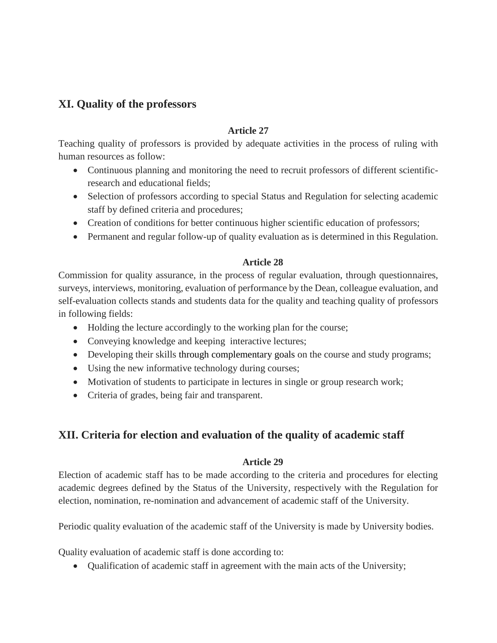# **XI. Quality of the professors**

### **Article 27**

Teaching quality of professors is provided by adequate activities in the process of ruling with human resources as follow:

- Continuous planning and monitoring the need to recruit professors of different scientificresearch and educational fields;
- Selection of professors according to special Status and Regulation for selecting academic staff by defined criteria and procedures;
- Creation of conditions for better continuous higher scientific education of professors;
- Permanent and regular follow-up of quality evaluation as is determined in this Regulation.

## **Article 28**

Commission for quality assurance, in the process of regular evaluation, through questionnaires, surveys, interviews, monitoring, evaluation of performance by the Dean, colleague evaluation, and self-evaluation collects stands and students data for the quality and teaching quality of professors in following fields:

- Holding the lecture accordingly to the working plan for the course;
- Conveying knowledge and keeping interactive lectures;
- Developing their skills through complementary goals on the course and study programs;
- Using the new informative technology during courses;
- Motivation of students to participate in lectures in single or group research work;
- Criteria of grades, being fair and transparent.

# **XII. Criteria for election and evaluation of the quality of academic staff**

## **Article 29**

Election of academic staff has to be made according to the criteria and procedures for electing academic degrees defined by the Status of the University, respectively with the Regulation for election, nomination, re-nomination and advancement of academic staff of the University.

Periodic quality evaluation of the academic staff of the University is made by University bodies.

Quality evaluation of academic staff is done according to:

Qualification of academic staff in agreement with the main acts of the University;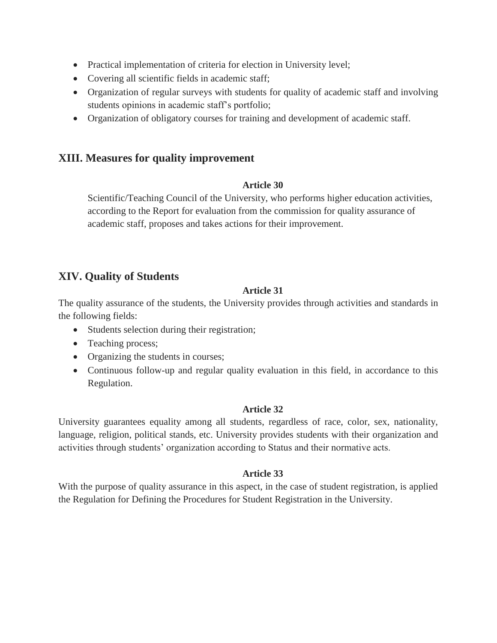- Practical implementation of criteria for election in University level;
- Covering all scientific fields in academic staff;
- Organization of regular surveys with students for quality of academic staff and involving students opinions in academic staff's portfolio;
- Organization of obligatory courses for training and development of academic staff.

# **XIII. Measures for quality improvement**

### **Article 30**

Scientific/Teaching Council of the University, who performs higher education activities, according to the Report for evaluation from the commission for quality assurance of academic staff, proposes and takes actions for their improvement.

# **XIV. Quality of Students**

## **Article 31**

The quality assurance of the students, the University provides through activities and standards in the following fields:

- Students selection during their registration;
- Teaching process;
- Organizing the students in courses;
- Continuous follow-up and regular quality evaluation in this field, in accordance to this Regulation.

## **Article 32**

University guarantees equality among all students, regardless of race, color, sex, nationality, language, religion, political stands, etc. University provides students with their organization and activities through students' organization according to Status and their normative acts.

## **Article 33**

With the purpose of quality assurance in this aspect, in the case of student registration, is applied the Regulation for Defining the Procedures for Student Registration in the University.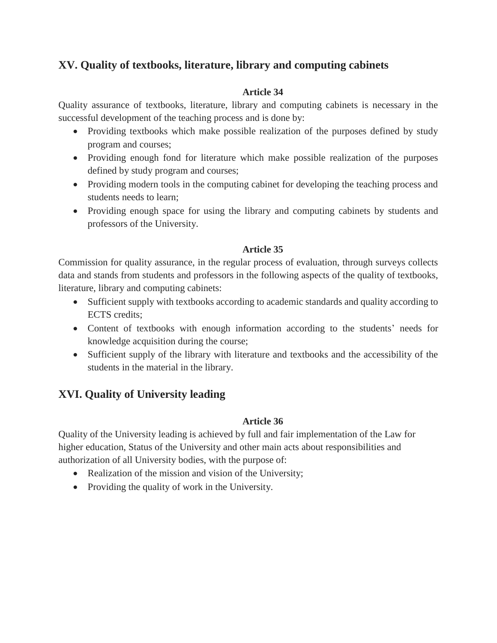# **XV. Quality of textbooks, literature, library and computing cabinets**

## **Article 34**

Quality assurance of textbooks, literature, library and computing cabinets is necessary in the successful development of the teaching process and is done by:

- Providing textbooks which make possible realization of the purposes defined by study program and courses;
- Providing enough fond for literature which make possible realization of the purposes defined by study program and courses;
- Providing modern tools in the computing cabinet for developing the teaching process and students needs to learn;
- Providing enough space for using the library and computing cabinets by students and professors of the University.

## **Article 35**

Commission for quality assurance, in the regular process of evaluation, through surveys collects data and stands from students and professors in the following aspects of the quality of textbooks, literature, library and computing cabinets:

- Sufficient supply with textbooks according to academic standards and quality according to ECTS credits;
- Content of textbooks with enough information according to the students' needs for knowledge acquisition during the course;
- Sufficient supply of the library with literature and textbooks and the accessibility of the students in the material in the library.

# **XVI. Quality of University leading**

## **Article 36**

Quality of the University leading is achieved by full and fair implementation of the Law for higher education, Status of the University and other main acts about responsibilities and authorization of all University bodies, with the purpose of:

- Realization of the mission and vision of the University;
- Providing the quality of work in the University.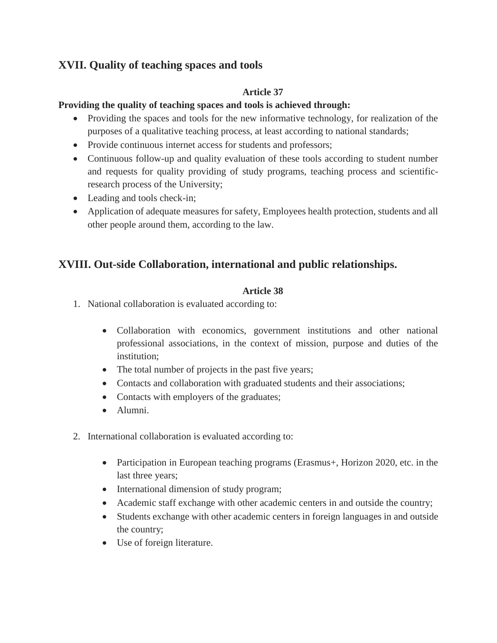# **XVII. Quality of teaching spaces and tools**

## **Article 37**

## **Providing the quality of teaching spaces and tools is achieved through:**

- Providing the spaces and tools for the new informative technology, for realization of the purposes of a qualitative teaching process, at least according to national standards;
- Provide continuous internet access for students and professors;
- Continuous follow-up and quality evaluation of these tools according to student number and requests for quality providing of study programs, teaching process and scientificresearch process of the University;
- Leading and tools check-in;
- Application of adequate measures for safety, Employees health protection, students and all other people around them, according to the law.

# **XVIII. Out-side Collaboration, international and public relationships.**

## **Article 38**

- 1. National collaboration is evaluated according to:
	- Collaboration with economics, government institutions and other national professional associations, in the context of mission, purpose and duties of the institution;
	- The total number of projects in the past five years;
	- Contacts and collaboration with graduated students and their associations;
	- Contacts with employers of the graduates;
	- Alumni.
- 2. International collaboration is evaluated according to:
	- Participation in European teaching programs (Erasmus+, Horizon 2020, etc. in the last three years;
	- International dimension of study program;
	- Academic staff exchange with other academic centers in and outside the country;
	- Students exchange with other academic centers in foreign languages in and outside the country;
	- Use of foreign literature.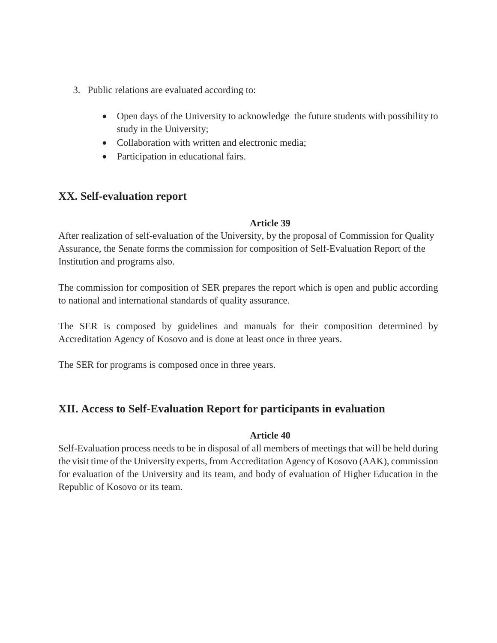- 3. Public relations are evaluated according to:
	- Open days of the University to acknowledge the future students with possibility to study in the University;
	- Collaboration with written and electronic media;
	- Participation in educational fairs.

# **XX. Self-evaluation report**

### **Article 39**

After realization of self-evaluation of the University, by the proposal of Commission for Quality Assurance, the Senate forms the commission for composition of Self-Evaluation Report of the Institution and programs also.

The commission for composition of SER prepares the report which is open and public according to national and international standards of quality assurance.

The SER is composed by guidelines and manuals for their composition determined by Accreditation Agency of Kosovo and is done at least once in three years.

The SER for programs is composed once in three years.

# **XII. Access to Self-Evaluation Report for participants in evaluation**

#### **Article 40**

Self-Evaluation process needs to be in disposal of all members of meetings that will be held during the visit time of the University experts, from Accreditation Agency of Kosovo (AAK), commission for evaluation of the University and its team, and body of evaluation of Higher Education in the Republic of Kosovo or its team.